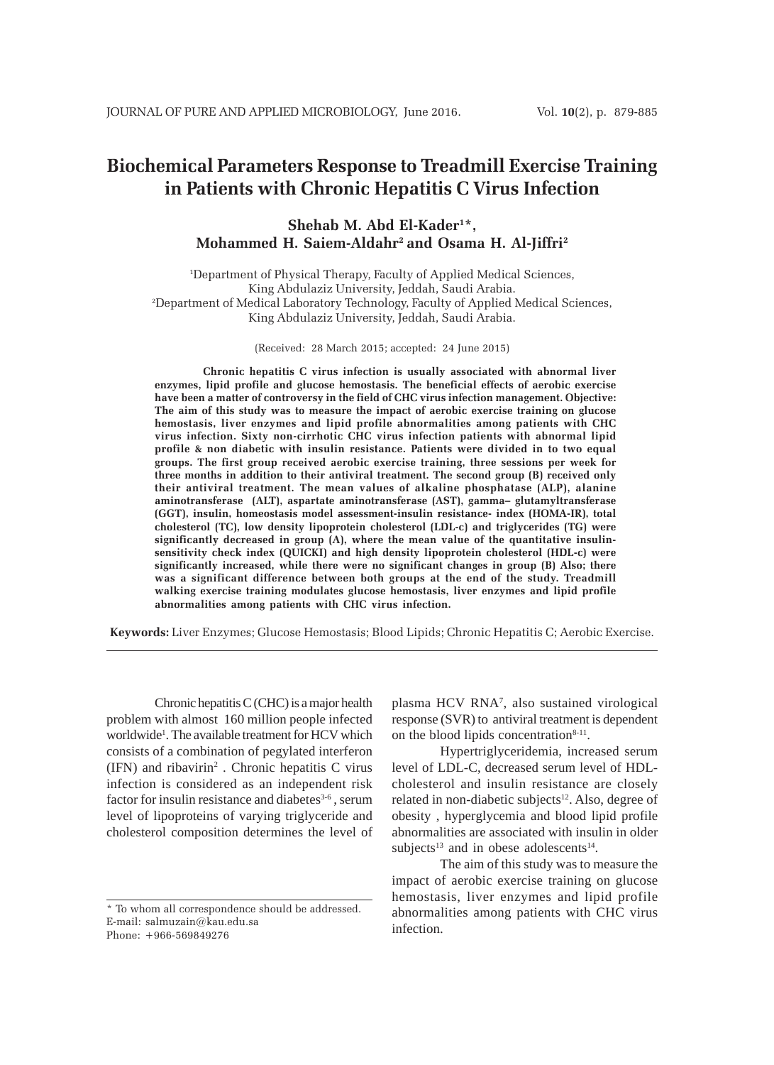# **Biochemical Parameters Response to Treadmill Exercise Training in Patients with Chronic Hepatitis C Virus Infection**

# **Shehab M. Abd El-Kader1 \*, Mohammed H. Saiem-Aldahr2 and Osama H. Al-Jiffri2**

1 Department of Physical Therapy, Faculty of Applied Medical Sciences, King Abdulaziz University, Jeddah, Saudi Arabia. 2 Department of Medical Laboratory Technology, Faculty of Applied Medical Sciences, King Abdulaziz University, Jeddah, Saudi Arabia.

(Received: 28 March 2015; accepted: 24 June 2015)

**Chronic hepatitis C virus infection is usually associated with abnormal liver enzymes, lipid profile and glucose hemostasis. The beneficial effects of aerobic exercise have been a matter of controversy in the field of CHC virus infection management. Objective: The aim of this study was to measure the impact of aerobic exercise training on glucose hemostasis, liver enzymes and lipid profile abnormalities among patients with CHC virus infection. Sixty non-cirrhotic CHC virus infection patients with abnormal lipid profile & non diabetic with insulin resistance. Patients were divided in to two equal groups. The first group received aerobic exercise training, three sessions per week for three months in addition to their antiviral treatment. The second group (B) received only their antiviral treatment. The mean values of alkaline phosphatase (ALP), alanine aminotransferase (ALT), aspartate aminotransferase (AST), gamma– glutamyltransferase (GGT), insulin, homeostasis model assessment-insulin resistance- index (HOMA-IR), total cholesterol (TC), low density lipoprotein cholesterol (LDL-c) and triglycerides (TG) were significantly decreased in group (A), where the mean value of the quantitative insulinsensitivity check index (QUICKI) and high density lipoprotein cholesterol (HDL-c) were significantly increased, while there were no significant changes in group (B) Also; there was a significant difference between both groups at the end of the study. Treadmill walking exercise training modulates glucose hemostasis, liver enzymes and lipid profile abnormalities among patients with CHC virus infection.**

**Keywords:** Liver Enzymes; Glucose Hemostasis; Blood Lipids; Chronic Hepatitis C; Aerobic Exercise.

Chronic hepatitis C (CHC) is a major health problem with almost 160 million people infected worldwide<sup>1</sup>. The available treatment for HCV which consists of a combination of pegylated interferon (IFN) and ribavirin2 . Chronic hepatitis C virus infection is considered as an independent risk factor for insulin resistance and diabetes $3-6$ , serum level of lipoproteins of varying triglyceride and cholesterol composition determines the level of

plasma HCV RNA<sup>7</sup>, also sustained virological response (SVR) to antiviral treatment is dependent on the blood lipids concentration $8-11$ .

Hypertriglyceridemia, increased serum level of LDL-C, decreased serum level of HDLcholesterol and insulin resistance are closely related in non-diabetic subjects<sup>12</sup>. Also, degree of obesity , hyperglycemia and blood lipid profile abnormalities are associated with insulin in older subjects<sup>13</sup> and in obese adolescents<sup>14</sup>.

The aim of this study was to measure the impact of aerobic exercise training on glucose hemostasis, liver enzymes and lipid profile abnormalities among patients with CHC virus infection.

<sup>\*</sup> To whom all correspondence should be addressed. E-mail: salmuzain@kau.edu.sa Phone: +966-569849276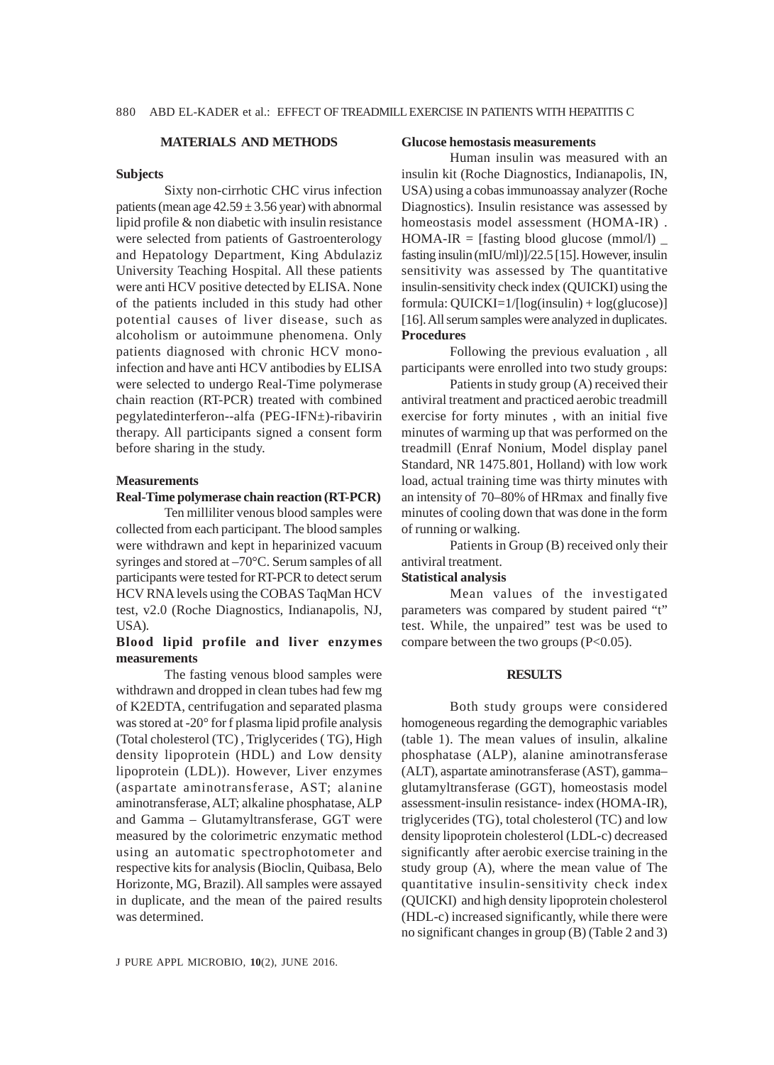# **MATERIALS AND METHODS**

#### **Subjects**

Sixty non-cirrhotic CHC virus infection patients (mean age  $42.59 \pm 3.56$  year) with abnormal lipid profile & non diabetic with insulin resistance were selected from patients of Gastroenterology and Hepatology Department, King Abdulaziz University Teaching Hospital. All these patients were anti HCV positive detected by ELISA. None of the patients included in this study had other potential causes of liver disease, such as alcoholism or autoimmune phenomena. Only patients diagnosed with chronic HCV monoinfection and have anti HCV antibodies by ELISA were selected to undergo Real-Time polymerase chain reaction (RT-PCR) treated with combined pegylatedinterferon--alfa (PEG-IFN±)-ribavirin therapy. All participants signed a consent form before sharing in the study.

#### **Measurements**

# **Real-Time polymerase chain reaction (RT-PCR)**

Ten milliliter venous blood samples were collected from each participant. The blood samples were withdrawn and kept in heparinized vacuum syringes and stored at –70°C. Serum samples of all participants were tested for RT-PCR to detect serum HCV RNA levels using the COBAS TaqMan HCV test, v2.0 (Roche Diagnostics, Indianapolis, NJ, USA).

# **Blood lipid profile and liver enzymes measurements**

The fasting venous blood samples were withdrawn and dropped in clean tubes had few mg of K2EDTA, centrifugation and separated plasma was stored at -20° for f plasma lipid profile analysis (Total cholesterol (TC) , Triglycerides ( TG), High density lipoprotein (HDL) and Low density lipoprotein (LDL)). However, Liver enzymes (aspartate aminotransferase, AST; alanine aminotransferase, ALT; alkaline phosphatase, ALP and Gamma – Glutamyltransferase, GGT were measured by the colorimetric enzymatic method using an automatic spectrophotometer and respective kits for analysis (Bioclin, Quibasa, Belo Horizonte, MG, Brazil). All samples were assayed in duplicate, and the mean of the paired results was determined.

#### **Glucose hemostasis measurements**

Human insulin was measured with an insulin kit (Roche Diagnostics, Indianapolis, IN, USA) using a cobas immunoassay analyzer (Roche Diagnostics). Insulin resistance was assessed by homeostasis model assessment (HOMA-IR) . HOMA-IR = [fasting blood glucose (mmol/l)  $\overline{\phantom{a}}$ fasting insulin (mIU/ml)]/22.5 [15]. However, insulin sensitivity was assessed by The quantitative insulin-sensitivity check index (QUICKI) using the formula: QUICKI=1/[log(insulin) + log(glucose)] [16]. All serum samples were analyzed in duplicates. **Procedures**

Following the previous evaluation , all participants were enrolled into two study groups:

Patients in study group (A) received their antiviral treatment and practiced aerobic treadmill exercise for forty minutes , with an initial five minutes of warming up that was performed on the treadmill (Enraf Nonium, Model display panel Standard, NR 1475.801, Holland) with low work load, actual training time was thirty minutes with an intensity of 70–80% of HRmax and finally five minutes of cooling down that was done in the form of running or walking.

Patients in Group (B) received only their antiviral treatment.

# **Statistical analysis**

Mean values of the investigated parameters was compared by student paired "t" test. While, the unpaired" test was be used to compare between the two groups (P<0.05).

#### **RESULTS**

Both study groups were considered homogeneous regarding the demographic variables (table 1). The mean values of insulin, alkaline phosphatase (ALP), alanine aminotransferase (ALT), aspartate aminotransferase (AST), gamma– glutamyltransferase (GGT), homeostasis model assessment-insulin resistance- index (HOMA-IR), triglycerides (TG), total cholesterol (TC) and low density lipoprotein cholesterol (LDL-c) decreased significantly after aerobic exercise training in the study group (A), where the mean value of The quantitative insulin-sensitivity check index (QUICKI) and high density lipoprotein cholesterol (HDL-c) increased significantly, while there were no significant changes in group (B) (Table 2 and 3)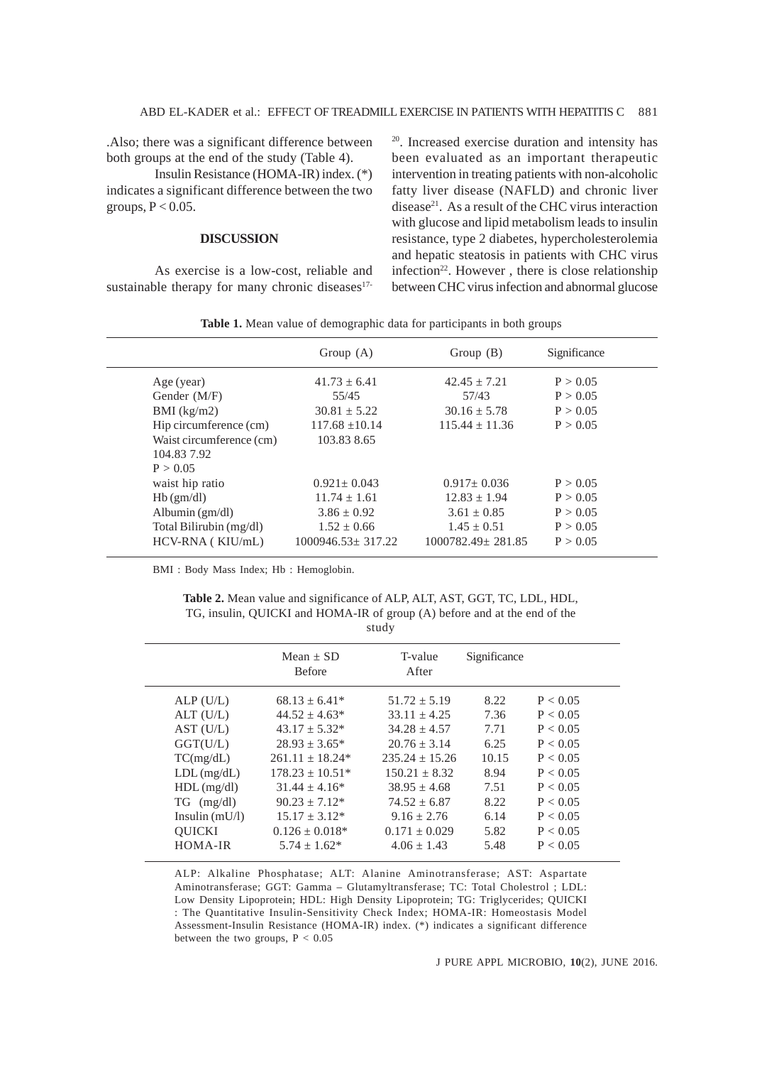.Also; there was a significant difference between both groups at the end of the study (Table 4).

Insulin Resistance (HOMA-IR) index. (\*) indicates a significant difference between the two groups,  $P < 0.05$ .

# **DISCUSSION**

As exercise is a low-cost, reliable and sustainable therapy for many chronic diseases<sup>17-</sup> 20. Increased exercise duration and intensity has been evaluated as an important therapeutic intervention in treating patients with non-alcoholic fatty liver disease (NAFLD) and chronic liver disease<sup>21</sup>. As a result of the CHC virus interaction with glucose and lipid metabolism leads to insulin resistance, type 2 diabetes, hypercholesterolemia and hepatic steatosis in patients with CHC virus infection<sup>22</sup>. However, there is close relationship between CHC virus infection and abnormal glucose

| Table 1. Mean value of demographic data for participants in both groups |  |  |  |
|-------------------------------------------------------------------------|--|--|--|
|-------------------------------------------------------------------------|--|--|--|

|                          | Group $(A)$           | Group $(B)$           | Significance |
|--------------------------|-----------------------|-----------------------|--------------|
| Age (year)               | $41.73 + 6.41$        | $42.45 + 7.21$        | P > 0.05     |
| Gender $(M/F)$           | 55/45                 | 57/43                 | P > 0.05     |
| $BMI$ (kg/m2)            | $30.81 \pm 5.22$      | $30.16 + 5.78$        | P > 0.05     |
| Hip circumference (cm)   | $117.68 \pm 10.14$    | $115.44 + 11.36$      | P > 0.05     |
| Waist circumference (cm) | 103.83 8.65           |                       |              |
| 104.83 7.92              |                       |                       |              |
| P > 0.05                 |                       |                       |              |
| waist hip ratio          | $0.921 \pm 0.043$     | $0.917+0.036$         | P > 0.05     |
| $Hb$ (gm/dl)             | $11.74 + 1.61$        | $12.83 + 1.94$        | P > 0.05     |
| Albumin $(gm/dl)$        | $3.86 \pm 0.92$       | $3.61 \pm 0.85$       | P > 0.05     |
| Total Bilirubin (mg/dl)  | $1.52 + 0.66$         | $1.45 + 0.51$         | P > 0.05     |
| HCV-RNA (KIU/mL)         | $1000946.53 + 317.22$ | $1000782.49 + 281.85$ | P > 0.05     |

BMI : Body Mass Index; Hb : Hemoglobin.

**Table 2.** Mean value and significance of ALP, ALT, AST, GGT, TC, LDL, HDL, TG, insulin, QUICKI and HOMA-IR of group (A) before and at the end of the study

|                      | $Mean + SD$<br><b>Before</b> | T-value<br>After | Significance |          |
|----------------------|------------------------------|------------------|--------------|----------|
| ALP(U/L)             | $68.13 + 6.41*$              | $51.72 + 5.19$   | 8.22         | P < 0.05 |
| $ALT$ (U/L)          | $44.52 \pm 4.63*$            | $33.11 + 4.25$   | 7.36         | P < 0.05 |
| AST (U/L)            | $43.17 + 5.32*$              | $34.28 \pm 4.57$ | 7.71         | P < 0.05 |
| GGT(U/L)             | $28.93 \pm 3.65^*$           | $20.76 + 3.14$   | 6.25         | P < 0.05 |
| TC(mg/dL)            | $261.11 + 18.24*$            | $235.24 + 15.26$ | 10.15        | P < 0.05 |
| $LDL$ (mg/dL)        | $178.23 + 10.51*$            | $150.21 + 8.32$  | 8.94         | P < 0.05 |
| $HDL$ (mg/dl)        | $31.44 + 4.16*$              | $38.95 + 4.68$   | 7.51         | P < 0.05 |
| $TG \text{ (mg/dl)}$ | $90.23 + 7.12*$              | $74.52 + 6.87$   | 8.22         | P < 0.05 |
| Insulin $(mU/l)$     | $15.17 \pm 3.12^*$           | $9.16 \pm 2.76$  | 6.14         | P < 0.05 |
| <b>OUICKI</b>        | $0.126 + 0.018*$             | $0.171 + 0.029$  | 5.82         | P < 0.05 |
| HOMA-IR              | $5.74 + 1.62*$               | $4.06 + 1.43$    | 5.48         | P < 0.05 |
|                      |                              |                  |              |          |

ALP: Alkaline Phosphatase; ALT: Alanine Aminotransferase; AST: Aspartate Aminotransferase; GGT: Gamma – Glutamyltransferase; TC: Total Cholestrol ; LDL: Low Density Lipoprotein; HDL: High Density Lipoprotein; TG: Triglycerides; QUICKI : The Quantitative Insulin-Sensitivity Check Index; HOMA-IR: Homeostasis Model Assessment-Insulin Resistance (HOMA-IR) index. (\*) indicates a significant difference between the two groups,  $P < 0.05$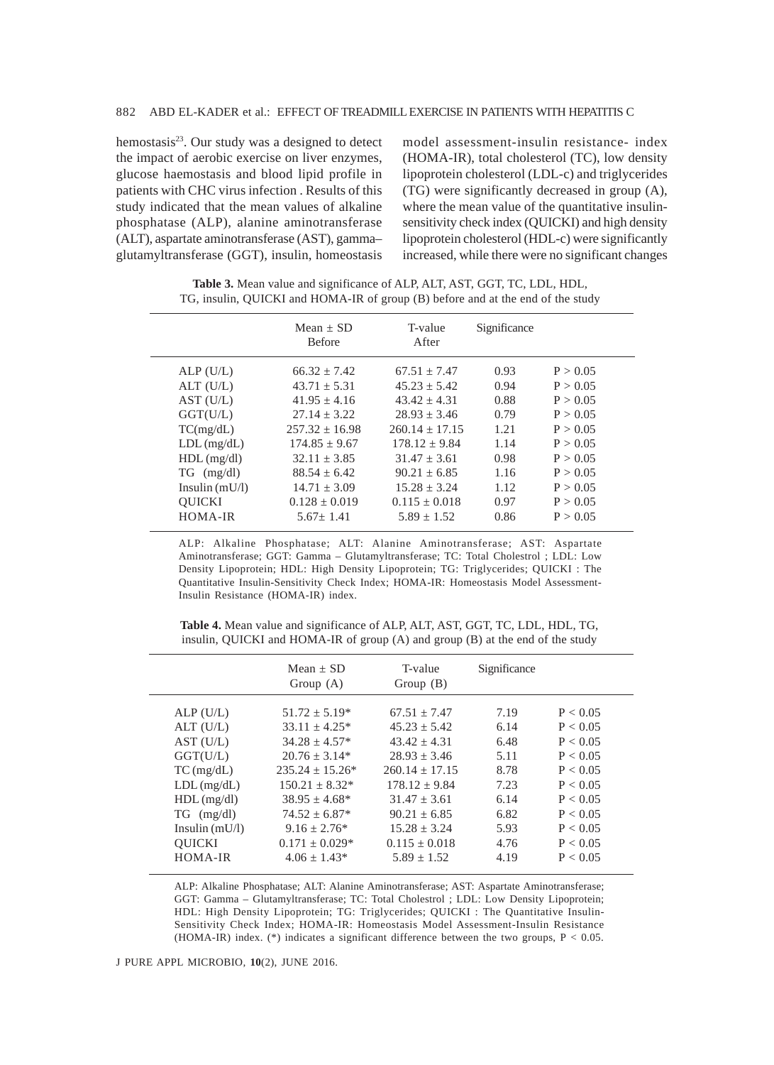hemostasis $2<sup>3</sup>$ . Our study was a designed to detect the impact of aerobic exercise on liver enzymes, glucose haemostasis and blood lipid profile in patients with CHC virus infection . Results of this study indicated that the mean values of alkaline phosphatase (ALP), alanine aminotransferase (ALT), aspartate aminotransferase (AST), gamma– glutamyltransferase (GGT), insulin, homeostasis model assessment-insulin resistance- index (HOMA-IR), total cholesterol (TC), low density lipoprotein cholesterol (LDL-c) and triglycerides (TG) were significantly decreased in group (A), where the mean value of the quantitative insulinsensitivity check index (QUICKI) and high density lipoprotein cholesterol (HDL-c) were significantly increased, while there were no significant changes

|                      | $Mean + SD$<br><b>Before</b> | T-value<br>After | Significance |          |
|----------------------|------------------------------|------------------|--------------|----------|
| ALP(U/L)             | $66.32 + 7.42$               | $67.51 + 7.47$   | 0.93         | P > 0.05 |
| ALT (U/L)            | $43.71 + 5.31$               | $45.23 \pm 5.42$ | 0.94         | P > 0.05 |
| AST (U/L)            | $41.95 + 4.16$               | $43.42 + 4.31$   | 0.88         | P > 0.05 |
| GGT(U/L)             | $27.14 + 3.22$               | $28.93 + 3.46$   | 0.79         | P > 0.05 |
| TC(mg/dL)            | $257.32 + 16.98$             | $260.14 + 17.15$ | 1.21         | P > 0.05 |
| $LDL$ (mg/dL)        | $174.85 + 9.67$              | $178.12 + 9.84$  | 1.14         | P > 0.05 |
| $HDL$ (mg/dl)        | $32.11 + 3.85$               | $31.47 + 3.61$   | 0.98         | P > 0.05 |
| $TG \text{ (mg/dl)}$ | $88.54 + 6.42$               | $90.21 + 6.85$   | 1.16         | P > 0.05 |
| Insulin $(mU/l)$     | $14.71 + 3.09$               | $15.28 + 3.24$   | 1.12         | P > 0.05 |
| <b>OUICKI</b>        | $0.128 + 0.019$              | $0.115 + 0.018$  | 0.97         | P > 0.05 |
| HOMA-IR              | $5.67 + 1.41$                | $5.89 + 1.52$    | 0.86         | P > 0.05 |
|                      |                              |                  |              |          |

**Table 3.** Mean value and significance of ALP, ALT, AST, GGT, TC, LDL, HDL, TG, insulin, QUICKI and HOMA-IR of group (B) before and at the end of the study

ALP: Alkaline Phosphatase; ALT: Alanine Aminotransferase; AST: Aspartate Aminotransferase; GGT: Gamma – Glutamyltransferase; TC: Total Cholestrol ; LDL: Low Density Lipoprotein; HDL: High Density Lipoprotein; TG: Triglycerides; QUICKI : The Quantitative Insulin-Sensitivity Check Index; HOMA-IR: Homeostasis Model Assessment-Insulin Resistance (HOMA-IR) index.

|                      | $Mean + SD$<br>Group $(A)$ | T-value<br>Group $(B)$ | Significance |          |
|----------------------|----------------------------|------------------------|--------------|----------|
| ALP(U/L)             | $51.72 + 5.19*$            | $67.51 + 7.47$         | 7.19         | P < 0.05 |
| ALT (U/L)            | $33.11 \pm 4.25^*$         | $45.23 + 5.42$         | 6.14         | P < 0.05 |
| AST (U/L)            | $34.28 + 4.57*$            | $43.42 + 4.31$         | 6.48         | P < 0.05 |
| GGT(U/L)             | $20.76 + 3.14*$            | $28.93 + 3.46$         | 5.11         | P < 0.05 |
| $TC$ (mg/dL)         | $235.24 + 15.26*$          | $260.14 + 17.15$       | 8.78         | P < 0.05 |
| $LDL$ (mg/dL)        | $150.21 + 8.32*$           | $178.12 \pm 9.84$      | 7.23         | P < 0.05 |
| $HDL$ (mg/dl)        | $38.95 + 4.68*$            | $31.47 + 3.61$         | 6.14         | P < 0.05 |
| $TG \text{ (mg/dl)}$ | $74.52 \pm 6.87*$          | $90.21 + 6.85$         | 6.82         | P < 0.05 |
| Insulin $(mU/l)$     | $9.16 + 2.76*$             | $15.28 + 3.24$         | 5.93         | P < 0.05 |
| <b>OUICKI</b>        | $0.171 + 0.029*$           | $0.115 + 0.018$        | 4.76         | P < 0.05 |
| HOMA-IR              | $4.06 + 1.43*$             | $5.89 + 1.52$          | 4.19         | P < 0.05 |

**Table 4.** Mean value and significance of ALP, ALT, AST, GGT, TC, LDL, HDL, TG, insulin, QUICKI and HOMA-IR of group (A) and group (B) at the end of the study

ALP: Alkaline Phosphatase; ALT: Alanine Aminotransferase; AST: Aspartate Aminotransferase; GGT: Gamma – Glutamyltransferase; TC: Total Cholestrol ; LDL: Low Density Lipoprotein; HDL: High Density Lipoprotein; TG: Triglycerides; QUICKI : The Quantitative Insulin-Sensitivity Check Index; HOMA-IR: Homeostasis Model Assessment-Insulin Resistance (HOMA-IR) index. (\*) indicates a significant difference between the two groups,  $P < 0.05$ .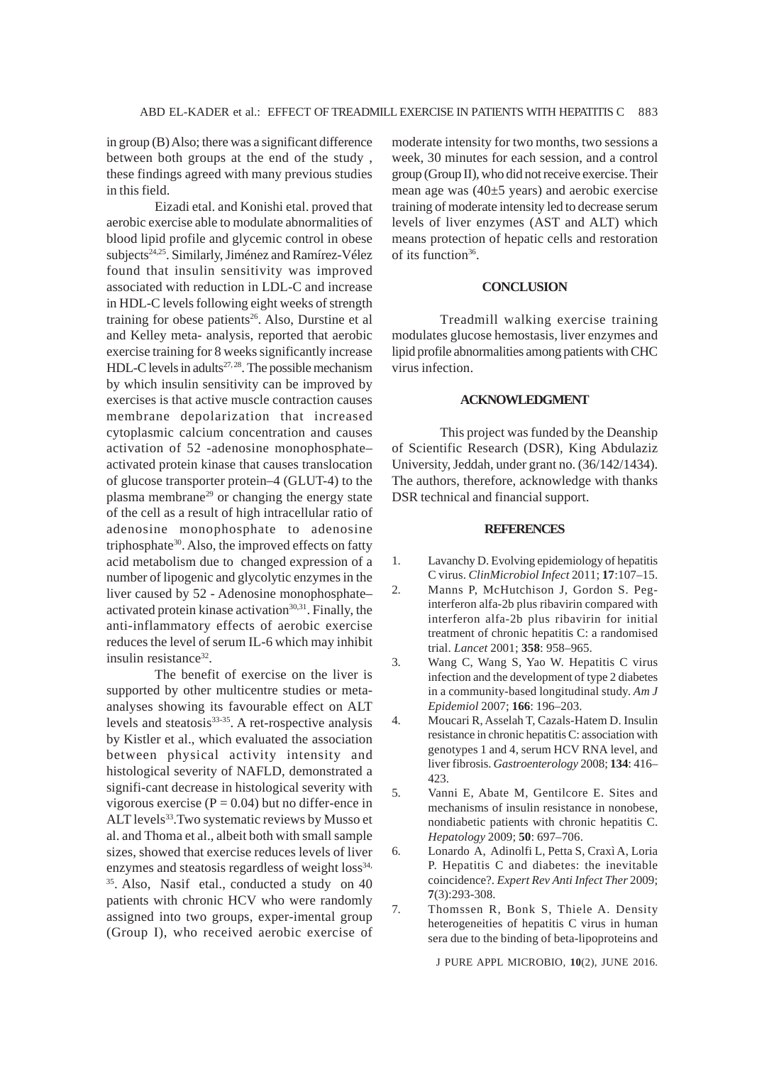in group (B) Also; there was a significant difference between both groups at the end of the study , these findings agreed with many previous studies in this field.

Eizadi etal. and Konishi etal. proved that aerobic exercise able to modulate abnormalities of blood lipid profile and glycemic control in obese subjects<sup>24,25</sup>. Similarly, Jiménez and Ramírez-Vélez found that insulin sensitivity was improved associated with reduction in LDL-C and increase in HDL-C levels following eight weeks of strength training for obese patients<sup>26</sup>. Also, Durstine et al and Kelley meta- analysis, reported that aerobic exercise training for 8 weeks significantly increase HDL-C levels in adults<sup>27, 28</sup>. The possible mechanism by which insulin sensitivity can be improved by exercises is that active muscle contraction causes membrane depolarization that increased cytoplasmic calcium concentration and causes activation of 52 -adenosine monophosphate– activated protein kinase that causes translocation of glucose transporter protein–4 (GLUT-4) to the plasma membrane<sup>29</sup> or changing the energy state of the cell as a result of high intracellular ratio of adenosine monophosphate to adenosine triphosphate<sup>30</sup>. Also, the improved effects on fatty acid metabolism due to changed expression of a number of lipogenic and glycolytic enzymes in the liver caused by 52 - Adenosine monophosphate– activated protein kinase activation $30,31$ . Finally, the anti-inflammatory effects of aerobic exercise reduces the level of serum IL-6 which may inhibit insulin resistance<sup>32</sup>.

The benefit of exercise on the liver is supported by other multicentre studies or metaanalyses showing its favourable effect on ALT levels and steatosis<sup>33-35</sup>. A ret-rospective analysis by Kistler et al., which evaluated the association between physical activity intensity and histological severity of NAFLD, demonstrated a signifi-cant decrease in histological severity with vigorous exercise ( $P = 0.04$ ) but no differ-ence in ALT levels<sup>33</sup>. Two systematic reviews by Musso et al. and Thoma et al., albeit both with small sample sizes, showed that exercise reduces levels of liver enzymes and steatosis regardless of weight loss<sup>34,</sup> 35. Also, Nasif etal., conducted a study on 40 patients with chronic HCV who were randomly assigned into two groups, exper-imental group (Group I), who received aerobic exercise of

moderate intensity for two months, two sessions a week, 30 minutes for each session, and a control group (Group II), who did not receive exercise. Their mean age was  $(40±5 \text{ years})$  and aerobic exercise training of moderate intensity led to decrease serum levels of liver enzymes (AST and ALT) which means protection of hepatic cells and restoration of its function<sup>36</sup>.

# **CONCLUSION**

Treadmill walking exercise training modulates glucose hemostasis, liver enzymes and lipid profile abnormalities among patients with CHC virus infection.

# **ACKNOWLEDGMENT**

This project was funded by the Deanship of Scientific Research (DSR), King Abdulaziz University, Jeddah, under grant no. (36/142/1434). The authors, therefore, acknowledge with thanks DSR technical and financial support.

# **REFERENCES**

- 1. Lavanchy D. Evolving epidemiology of hepatitis C virus. *ClinMicrobiol Infect* 2011; **17**:107–15.
- 2. Manns P, McHutchison J, Gordon S. Peginterferon alfa-2b plus ribavirin compared with interferon alfa-2b plus ribavirin for initial treatment of chronic hepatitis C: a randomised trial. *Lancet* 2001; **358**: 958–965.
- 3. Wang C, Wang S, Yao W. Hepatitis C virus infection and the development of type 2 diabetes in a community-based longitudinal study. *Am J Epidemiol* 2007; **166**: 196–203.
- 4. Moucari R, Asselah T, Cazals-Hatem D. Insulin resistance in chronic hepatitis C: association with genotypes 1 and 4, serum HCV RNA level, and liver fibrosis. *Gastroenterology* 2008; **134**: 416– 423.
- 5. Vanni E, Abate M, Gentilcore E. Sites and mechanisms of insulin resistance in nonobese, nondiabetic patients with chronic hepatitis C. *Hepatology* 2009; **50**: 697–706.
- 6. Lonardo A, Adinolfi L, Petta S, Craxì A, Loria P. Hepatitis C and diabetes: the inevitable coincidence?. *Expert Rev Anti Infect Ther* 2009; **7**(3):293-308.
- 7. Thomssen R, Bonk S, Thiele A. Density heterogeneities of hepatitis C virus in human sera due to the binding of beta-lipoproteins and

J PURE APPL MICROBIO*,* **10**(2), JUNE 2016.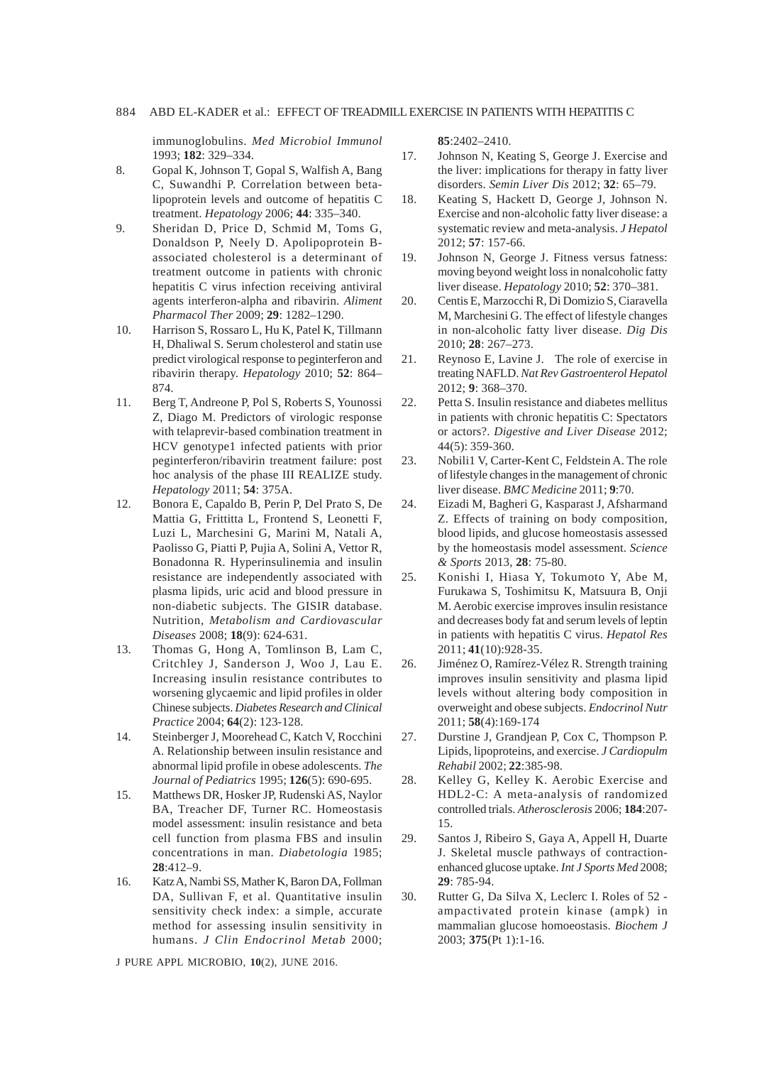# 884 ABD EL-KADER et al.: EFFECT OF TREADMILL EXERCISE IN PATIENTS WITH HEPATITIS C

immunoglobulins. *Med Microbiol Immunol* 1993; **182**: 329–334.

- 8. Gopal K, Johnson T, Gopal S, Walfish A, Bang C, Suwandhi P. Correlation between betalipoprotein levels and outcome of hepatitis C treatment. *Hepatology* 2006; **44**: 335–340.
- 9. Sheridan D, Price D, Schmid M, Toms G, Donaldson P, Neely D. Apolipoprotein Bassociated cholesterol is a determinant of treatment outcome in patients with chronic hepatitis C virus infection receiving antiviral agents interferon-alpha and ribavirin. *Aliment Pharmacol Ther* 2009; **29**: 1282–1290.
- 10. Harrison S, Rossaro L, Hu K, Patel K, Tillmann H, Dhaliwal S. Serum cholesterol and statin use predict virological response to peginterferon and ribavirin therapy. *Hepatology* 2010; **52**: 864– 874.
- 11. Berg T, Andreone P, Pol S, Roberts S, Younossi Z, Diago M. Predictors of virologic response with telaprevir-based combination treatment in HCV genotype1 infected patients with prior peginterferon/ribavirin treatment failure: post hoc analysis of the phase III REALIZE study. *Hepatology* 2011; **54**: 375A.
- 12. Bonora E, Capaldo B, Perin P, Del Prato S, De Mattia G, Frittitta L, Frontend S, Leonetti F, Luzi L, Marchesini G, Marini M, Natali A, Paolisso G, Piatti P, Pujia A, Solini A, Vettor R, Bonadonna R. Hyperinsulinemia and insulin resistance are independently associated with plasma lipids, uric acid and blood pressure in non-diabetic subjects. The GISIR database. Nutrition, *Metabolism and Cardiovascular Diseases* 2008; **18**(9): 624-631.
- 13. Thomas G, Hong A, Tomlinson B, Lam C, Critchley J, Sanderson J, Woo J, Lau E. Increasing insulin resistance contributes to worsening glycaemic and lipid profiles in older Chinese subjects. *Diabetes Research and Clinical Practice* 2004; **64**(2): 123-128.
- 14. Steinberger J, Moorehead C, Katch V, Rocchini A. Relationship between insulin resistance and abnormal lipid profile in obese adolescents. *The Journal of Pediatrics* 1995; **126**(5): 690-695.
- 15. Matthews DR, Hosker JP, Rudenski AS, Naylor BA, Treacher DF, Turner RC. Homeostasis model assessment: insulin resistance and beta cell function from plasma FBS and insulin concentrations in man. *Diabetologia* 1985; **28**:412–9.
- 16. Katz A, Nambi SS, Mather K, Baron DA, Follman DA, Sullivan F, et al. Quantitative insulin sensitivity check index: a simple, accurate method for assessing insulin sensitivity in humans. *J Clin Endocrinol Metab* 2000;

J PURE APPL MICROBIO*,* **10**(2), JUNE 2016.

**85**:2402–2410.

- 17. Johnson N, Keating S, George J. Exercise and the liver: implications for therapy in fatty liver disorders. *Semin Liver Dis* 2012; **32**: 65–79.
- 18. Keating S, Hackett D, George J, Johnson N. Exercise and non-alcoholic fatty liver disease: a systematic review and meta-analysis. *J Hepatol* 2012; **57**: 157-66.
- 19. Johnson N, George J. Fitness versus fatness: moving beyond weight loss in nonalcoholic fatty liver disease. *Hepatology* 2010; **52**: 370–381.
- 20. Centis E, Marzocchi R, Di Domizio S, Ciaravella M, Marchesini G. The effect of lifestyle changes in non-alcoholic fatty liver disease. *Dig Dis* 2010; **28**: 267–273.
- 21. Reynoso E, Lavine J. The role of exercise in treating NAFLD. *Nat Rev Gastroenterol Hepatol* 2012; **9**: 368–370.
- 22. Petta S. Insulin resistance and diabetes mellitus in patients with chronic hepatitis C: Spectators or actors?. *Digestive and Liver Disease* 2012; 44(5): 359-360.
- 23. Nobili1 V, Carter-Kent C, Feldstein A. The role of lifestyle changes in the management of chronic liver disease. *BMC Medicine* 2011; **9**:70.
- 24. Eizadi M, Bagheri G, Kasparast J, Afsharmand Z. Effects of training on body composition, blood lipids, and glucose homeostasis assessed by the homeostasis model assessment. *Science & Sports* 2013, **28**: 75-80.
- 25. Konishi I, Hiasa Y, Tokumoto Y, Abe M, Furukawa S, Toshimitsu K, Matsuura B, Onji M. Aerobic exercise improves insulin resistance and decreases body fat and serum levels of leptin in patients with hepatitis C virus. *Hepatol Res* 2011; **41**(10):928-35.
- 26. Jiménez O, Ramírez-Vélez R. Strength training improves insulin sensitivity and plasma lipid levels without altering body composition in overweight and obese subjects. *Endocrinol Nutr* 2011; **58**(4):169-174
- 27. Durstine J, Grandjean P, Cox C, Thompson P. Lipids, lipoproteins, and exercise. *J Cardiopulm Rehabil* 2002; **22**:385-98.
- 28. Kelley G, Kelley K. Aerobic Exercise and HDL2-C: A meta-analysis of randomized controlled trials. *Atherosclerosis* 2006; **184**:207- 15.
- 29. Santos J, Ribeiro S, Gaya A, Appell H, Duarte J. Skeletal muscle pathways of contractionenhanced glucose uptake. *Int J Sports Med* 2008; **29**: 785-94.
- 30. Rutter G, Da Silva X, Leclerc I. Roles of 52 ampactivated protein kinase (ampk) in mammalian glucose homoeostasis. *Biochem J* 2003; **375**(Pt 1):1-16.